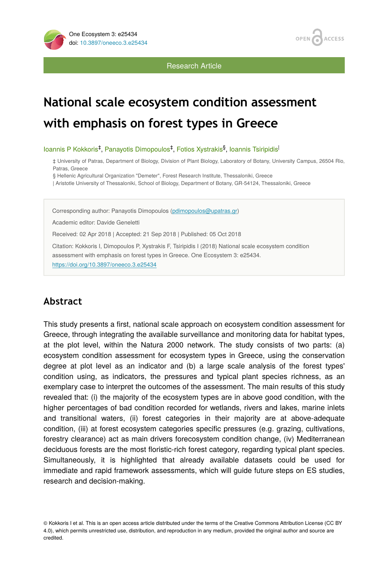

**ACCESS OPEN** 

Research Article

# **National scale ecosystem condition assessment with emphasis on forest types in Greece**

loannis P Kokkoris<sup>‡</sup>, Panayotis Dimopoulos<sup>‡</sup>, Fotios Xystrakis<sup>§</sup>, Ioannis Tsiripidis<sup>|</sup>

‡ University of Patras, Department of Biology, Division of Plant Biology, Laboratory of Botany, University Campus, 26504 Rio, Patras, Greece

§ Hellenic Agricultural Organization "Demeter", Forest Research Institute, Thessaloniki, Greece

| Aristotle University of Thessaloniki, School of Biology, Department of Botany, GR-54124, Thessaloniki, Greece

Corresponding author: Panayotis Dimopoulos ([pdimopoulos@upatras.gr\)](mailto:pdimopoulos@upatras.gr)

Academic editor: Davide Geneletti

Received: 02 Apr 2018 | Accepted: 21 Sep 2018 | Published: 05 Oct 2018

Citation: Kokkoris I, Dimopoulos P, Xystrakis F, Tsiripidis I (2018) National scale ecosystem condition assessment with emphasis on forest types in Greece. One Ecosystem 3: e25434. <https://doi.org/10.3897/oneeco.3.e25434>

# **Abstract**

This study presents a first, national scale approach on ecosystem condition assessment for Greece, through integrating the available surveillance and monitoring data for habitat types, at the plot level, within the Natura 2000 network. The study consists of two parts: (a) ecosystem condition assessment for ecosystem types in Greece, using the conservation degree at plot level as an indicator and (b) a large scale analysis of the forest types' condition using, as indicators, the pressures and typical plant species richness, as an exemplary case to interpret the outcomes of the assessment. The main results of this study revealed that: (i) the majority of the ecosystem types are in above good condition, with the higher percentages of bad condition recorded for wetlands, rivers and lakes, marine inlets and transitional waters, (ii) forest categories in their majority are at above-adequate condition, (iii) at forest ecosystem categories specific pressures (e.g. grazing, cultivations, forestry clearance) act as main drivers forecosystem condition change, (iv) Mediterranean deciduous forests are the most floristic-rich forest category, regarding typical plant species. Simultaneously, it is highlighted that already available datasets could be used for immediate and rapid framework assessments, which will guide future steps on ES studies, research and decision-making.

© Kokkoris I et al. This is an open access article distributed under the terms of the Creative Commons Attribution License (CC BY 4.0), which permits unrestricted use, distribution, and reproduction in any medium, provided the original author and source are credited.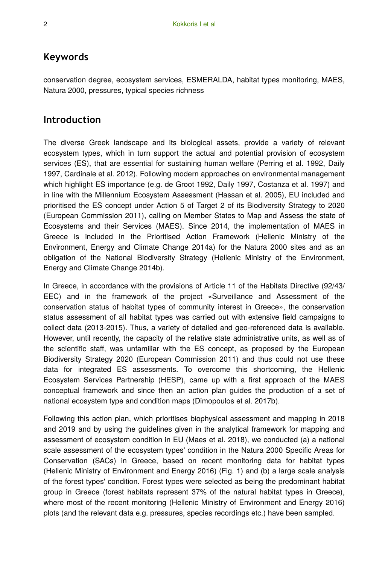### **Keywords**

conservation degree, ecosystem services, ESMERALDA, habitat types monitoring, MAES, Natura 2000, pressures, typical species richness

### **Introduction**

The diverse Greek landscape and its biological assets, provide a variety of relevant ecosystem types, which in turn support the actual and potential provision of ecosystem services (ES), that are essential for sustaining human welfare (Perring et al. 1992, Daily 1997, Cardinale et al. 2012). Following modern approaches on environmental management which highlight ES importance (e.g. de Groot 1992, Daily 1997, Costanza et al. 1997) and in line with the Millennium Ecosystem Assessment (Hassan et al. 2005), EU included and prioritised the ES concept under Action 5 of Target 2 of its Biodiversity Strategy to 2020 (European Commission 2011), calling on Member States to Map and Assess the state of Ecosystems and their Services (MAES). Since 2014, the implementation of MAES in Greece is included in the Prioritised Action Framework (Hellenic Ministry of the Environment, Energy and Climate Change 2014a) for the Natura 2000 sites and as an obligation of the National Biodiversity Strategy (Hellenic Ministry of the Environment, Energy and Climate Change 2014b).

In Greece, in accordance with the provisions of Article 11 of the Habitats Directive (92/43/ EEC) and in the framework of the project «Surveillance and Assessment of the conservation status of habitat types of community interest in Greece», the conservation status assessment of all habitat types was carried out with extensive field campaigns to collect data (2013-2015). Thus, a variety of detailed and geo-referenced data is available. However, until recently, the capacity of the relative state administrative units, as well as of the scientific staff, was unfamiliar with the ES concept, as proposed by the European Biodiversity Strategy 2020 (European Commission 2011) and thus could not use these data for integrated ES assessments. To overcome this shortcoming, the Hellenic Ecosystem Services Partnership (HESP), came up with a first approach of the MAES conceptual framework and since then an action plan guides the production of a set of national ecosystem type and condition maps (Dimopoulos et al. 2017b).

Following this action plan, which prioritises biophysical assessment and mapping in 2018 and 2019 and by using the guidelines given in the analytical framework for mapping and assessment of ecosystem condition in EU (Maes et al. 2018), we conducted (a) a national scale assessment of the ecosystem types' condition in the Natura 2000 Specific Areas for Conservation (SACs) in Greece, based on recent monitoring data for habitat types (Hellenic Ministry of Environment and Energy 2016) (Fig. 1) and (b) a large scale analysis of the forest types' condition. Forest types were selected as being the predominant habitat group in Greece (forest habitats represent 37% of the natural habitat types in Greece), where most of the recent monitoring (Hellenic Ministry of Environment and Energy 2016) plots (and the relevant data e.g. pressures, species recordings etc.) have been sampled.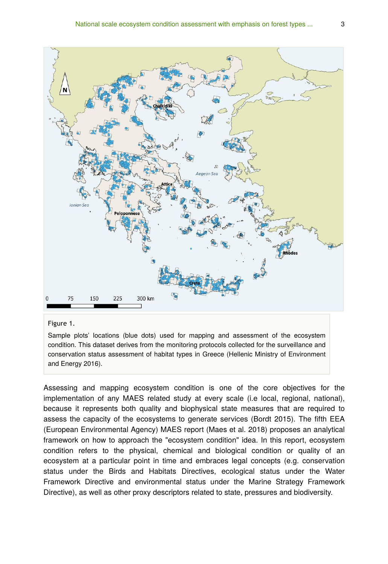

#### Figure 1.

Sample plots' locations (blue dots) used for mapping and assessment of the ecosystem condition. This dataset derives from the monitoring protocols collected for the surveillance and conservation status assessment of habitat types in Greece (Hellenic Ministry of Environment and Energy 2016).

Assessing and mapping ecosystem condition is one of the core objectives for the implementation of any MAES related study at every scale (i.e local, regional, national), because it represents both quality and biophysical state measures that are required to assess the capacity of the ecosystems to generate services (Bordt 2015). The fifth EEA (European Environmental Agency) MAES report (Maes et al. 2018) proposes an analytical framework on how to approach the "ecosystem condition" idea. In this report, ecosystem condition refers to the physical, chemical and biological condition or quality of an ecosystem at a particular point in time and embraces legal concepts (e.g. conservation status under the Birds and Habitats Directives, ecological status under the Water Framework Directive and environmental status under the Marine Strategy Framework Directive), as well as other proxy descriptors related to state, pressures and biodiversity.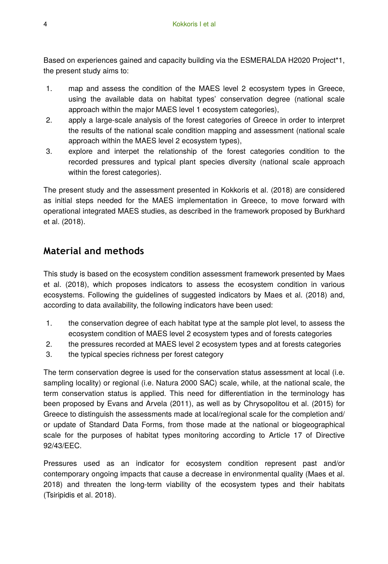Based on experiences gained and capacity building via the ESMERALDA H2020 Project\*1, the present study aims to:

- 1. map and assess the condition of the MAES level 2 ecosystem types in Greece, using the available data on habitat types' conservation degree (national scale approach within the major MAES level 1 ecosystem categories),
- 2. apply a large-scale analysis of the forest categories of Greece in order to interpret the results of the national scale condition mapping and assessment (national scale approach within the MAES level 2 ecosystem types),
- 3. explore and interpet the relationship of the forest categories condition to the recorded pressures and typical plant species diversity (national scale approach within the forest categories).

The present study and the assessment presented in Kokkoris et al. (2018) are considered as initial steps needed for the MAES implementation in Greece, to move forward with operational integrated MAES studies, as described in the framework proposed by Burkhard et al. (2018).

# **Material and methods**

This study is based on the ecosystem condition assessment framework presented by Maes et al. (2018), which proposes indicators to assess the ecosystem condition in various ecosystems. Following the guidelines of suggested indicators by Maes et al. (2018) and, according to data availability, the following indicators have been used:

- 1. the conservation degree of each habitat type at the sample plot level, to assess the ecosystem condition of MAES level 2 ecosystem types and of forests categories
- 2. the pressures recorded at MAES level 2 ecosystem types and at forests categories
- 3. the typical species richness per forest category

The term conservation degree is used for the conservation status assessment at local (i.e. sampling locality) or regional (i.e. Natura 2000 SAC) scale, while, at the national scale, the term conservation status is applied. This need for differentiation in the terminology has been proposed by Evans and Arvela (2011), as well as by Chrysopolitou et al. (2015) for Greece to distinguish the assessments made at local/regional scale for the completion and/ or update of Standard Data Forms, from those made at the national or biogeographical scale for the purposes of habitat types monitoring according to Article 17 of Directive 92/43/EEC.

Pressures used as an indicator for ecosystem condition represent past and/or contemporary ongoing impacts that cause a decrease in environmental quality (Maes et al. 2018) and threaten the long-term viability of the ecosystem types and their habitats (Tsiripidis et al. 2018).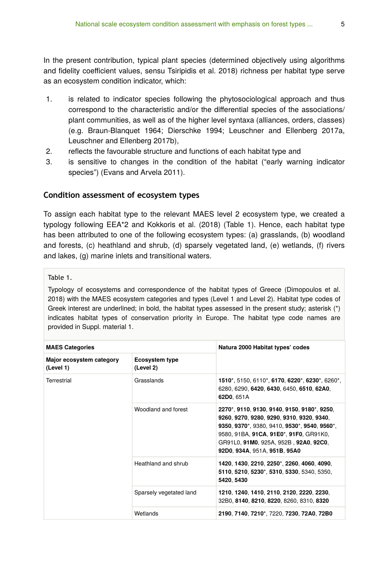In the present contribution, typical plant species (determined objectively using algorithms and fidelity coefficient values, sensu Tsiripidis et al. 2018) richness per habitat type serve as an ecosystem condition indicator, which:

- 1. is related to indicator species following the phytosociological approach and thus correspond to the characteristic and/or the differential species of the associations/ plant communities, as well as of the higher level syntaxa (alliances, orders, classes) (e.g. Braun-Blanquet 1964; Dierschke 1994; Leuschner and Ellenberg 2017a, Leuschner and Ellenberg 2017b),
- 2. reflects the favourable structure and functions of each habitat type and
- 3. is sensitive to changes in the condition of the habitat ("early warning indicator species") (Evans and Arvela 2011).

#### **Condition assessment of ecosystem types**

To assign each habitat type to the relevant MAES level 2 ecosystem type, we created a typology following EEA\*2 and Kokkoris et al. (2018) (Table 1). Hence, each habitat type has been attributed to one of the following ecosystem types: (a) grasslands, (b) woodland and forests, (c) heathland and shrub, (d) sparsely vegetated land, (e) wetlands, (f) rivers and lakes, (g) marine inlets and transitional waters.

#### Table 1.

Typology of ecosystems and correspondence of the habitat types of Greece (Dimopoulos et al. 2018) with the MAES ecosystem categories and types (Level 1 and Level 2). Habitat type codes of Greek interest are underlined; in bold, the habitat types assessed in the present study; asterisk (\*) indicates habitat types of conservation priority in Europe. The habitat type code names are provided in Suppl. material 1.

| <b>MAES Categories</b>                |                                    | Natura 2000 Habitat types' codes                                                                                                                                                                                                                            |  |
|---------------------------------------|------------------------------------|-------------------------------------------------------------------------------------------------------------------------------------------------------------------------------------------------------------------------------------------------------------|--|
| Major ecosystem category<br>(Level 1) | <b>Ecosystem type</b><br>(Level 2) |                                                                                                                                                                                                                                                             |  |
| Terrestrial                           | Grasslands                         | 1510*, 5150, 6110*, 6170, 6220*, 6230*, 6260*,<br>6280, 6290, 6420, 6430, 6450, 6510, 62A0,<br>62D0, 651A                                                                                                                                                   |  |
|                                       | Woodland and forest                | 2270*, 9110, 9130, 9140, 9150, 9180*, 9250,<br>9260, 9270, 9280, 9290, 9310, 9320, 9340,<br>9350, 9370*, 9380, 9410, 9530*, 9540, 9560*,<br>9580, 91BA, 91CA, 91E0*, 91F0, GR91K0,<br>GR91L0, 91M0, 925A, 952B, 92A0, 92C0,<br>92D0, 934A, 951A, 951B, 95A0 |  |
|                                       | Heathland and shrub                | 1420, 1430, 2210, 2250*, 2260, 4060, 4090,<br>5110, 5210, 5230*, 5310, 5330, 5340, 5350,<br>5420, 5430                                                                                                                                                      |  |
|                                       | Sparsely vegetated land            | 1210, 1240, 1410, 2110, 2120, 2220, 2230,<br>32B0, 8140, 8210, 8220, 8260, 8310, 8320                                                                                                                                                                       |  |
|                                       | Wetlands                           | 2190, 7140, 7210*, 7220, 7230, 72A0, 72B0                                                                                                                                                                                                                   |  |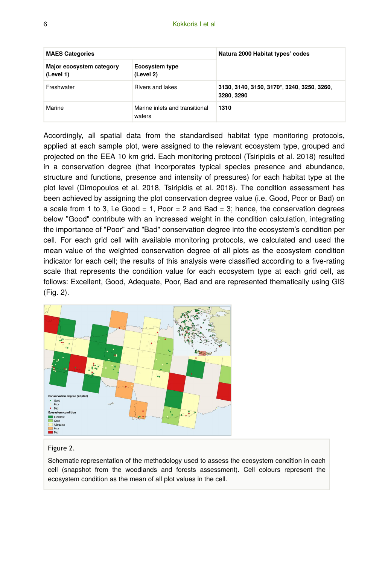| <b>MAES Categories</b>                |                                          | Natura 2000 Habitat types' codes                         |  |
|---------------------------------------|------------------------------------------|----------------------------------------------------------|--|
| Major ecosystem category<br>(Level 1) | Ecosystem type<br>(Level 2)              |                                                          |  |
| Freshwater                            | Rivers and lakes                         | 3130, 3140, 3150, 3170*, 3240, 3250, 3260,<br>3280, 3290 |  |
| Marine                                | Marine inlets and transitional<br>waters | 1310                                                     |  |

Accordingly, all spatial data from the standardised habitat type monitoring protocols, applied at each sample plot, were assigned to the relevant ecosystem type, grouped and projected on the EEA 10 km grid. Each monitoring protocol (Tsiripidis et al. 2018) resulted in a conservation degree (that incorporates typical species presence and abundance, structure and functions, presence and intensity of pressures) for each habitat type at the plot level (Dimopoulos et al. 2018, Tsiripidis et al. 2018). The condition assessment has been achieved by assigning the plot conservation degree value (i.e. Good, Poor or Bad) on a scale from 1 to 3, i.e Good = 1, Poor = 2 and Bad = 3; hence, the conservation degrees below "Good" contribute with an increased weight in the condition calculation, integrating the importance of "Poor" and "Bad" conservation degree into the ecosystem's condition per cell. For each grid cell with available monitoring protocols, we calculated and used the mean value of the weighted conservation degree of all plots as the ecosystem condition indicator for each cell; the results of this analysis were classified according to a five-rating scale that represents the condition value for each ecosystem type at each grid cell, as follows: Excellent, Good, Adequate, Poor, Bad and are represented thematically using GIS (Fig. 2).



#### Figure 2.

Schematic representation of the methodology used to assess the ecosystem condition in each cell (snapshot from the woodlands and forests assessment). Cell colours represent the ecosystem condition as the mean of all plot values in the cell.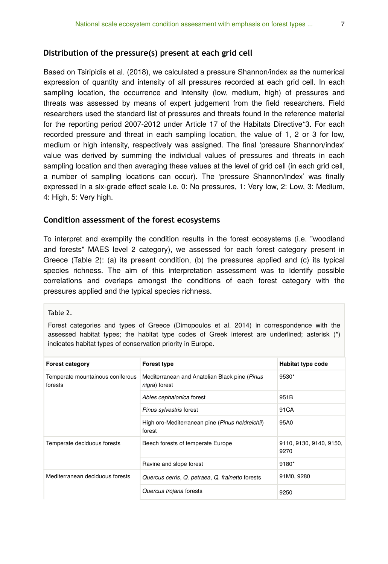#### **Distribution of the pressure(s) present at each grid cell**

Based on Tsiripidis et al. (2018), we calculated a pressure Shannon/index as the numerical expression of quantity and intensity of all pressures recorded at each grid cell. In each sampling location, the occurrence and intensity (low, medium, high) of pressures and threats was assessed by means of expert judgement from the field researchers. Field researchers used the standard list of pressures and threats found in the reference material for the reporting period 2007-2012 under Article 17 of the Habitats Directive\*3. For each recorded pressure and threat in each sampling location, the value of 1, 2 or 3 for low, medium or high intensity, respectively was assigned. The final 'pressure Shannon/index' value was derived by summing the individual values of pressures and threats in each sampling location and then averaging these values at the level of grid cell (in each grid cell, a number of sampling locations can occur). The 'pressure Shannon/index' was finally expressed in a six-grade effect scale i.e. 0: No pressures, 1: Very low, 2: Low, 3: Medium, 4: High, 5: Very high.

#### **Condition assessment of the forest ecosystems**

To interpret and exemplify the condition results in the forest ecosystems (i.e. "woodland and forests" MAES level 2 category), we assessed for each forest category present in Greece (Table 2): (a) its present condition, (b) the pressures applied and (c) its typical species richness. The aim of this interpretation assessment was to identify possible correlations and overlaps amongst the conditions of each forest category with the pressures applied and the typical species richness.

Table 2.

Forest categories and types of Greece (Dimopoulos et al. 2014) in correspondence with the assessed habitat types; the habitat type codes of Greek interest are underlined; asterisk (\*) indicates habitat types of conservation priority in Europe.

| <b>Forest category</b>                      | <b>Forest type</b>                                                      | Habitat type code               |
|---------------------------------------------|-------------------------------------------------------------------------|---------------------------------|
| Temperate mountainous coniferous<br>forests | Mediterranean and Anatolian Black pine (Pinus)<br><i>nigra</i> ) forest | 9530*                           |
|                                             | Abies cephalonica forest                                                | 951B                            |
|                                             | Pinus sylvestris forest                                                 | 91 CA                           |
|                                             | High oro-Mediterranean pine (Pinus heldreichii)<br>forest               | 95A0                            |
| Temperate deciduous forests                 | Beech forests of temperate Europe                                       | 9110, 9130, 9140, 9150,<br>9270 |
|                                             | Ravine and slope forest                                                 | 9180*                           |
| Mediterranean deciduous forests             | Quercus cerris, Q. petraea, Q. frainetto forests                        | 91M0, 9280                      |
|                                             | Quercus trojana forests                                                 | 9250                            |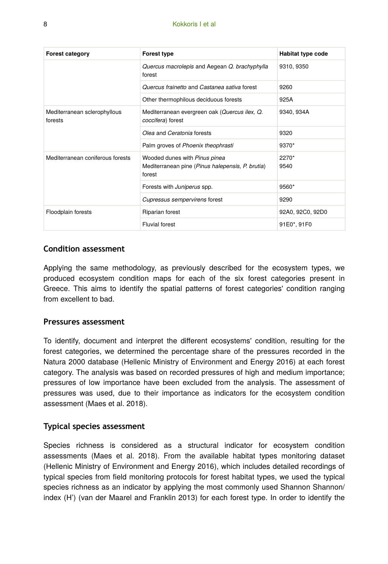| <b>Forest category</b>                  | <b>Forest type</b>                                                                          | Habitat type code |  |
|-----------------------------------------|---------------------------------------------------------------------------------------------|-------------------|--|
|                                         | Quercus macrolepis and Aegean Q. brachyphylla<br>forest                                     | 9310, 9350        |  |
|                                         | Quercus frainetto and Castanea sativa forest                                                | 9260              |  |
|                                         | Other thermophilous deciduous forests                                                       | 925A              |  |
| Mediterranean sclerophyllous<br>forests | Mediterranean evergreen oak (Quercus ilex, Q.<br>coccifera) forest                          | 9340, 934A        |  |
|                                         | Olea and Ceratonia forests                                                                  | 9320              |  |
|                                         | Palm groves of Phoenix theophrasti                                                          | 9370*             |  |
| Mediterranean coniferous forests        | Wooded dunes with Pinus pinea<br>Mediterranean pine (Pinus halepensis, P. brutia)<br>forest | $2270*$<br>9540   |  |
|                                         | Forests with <i>Juniperus</i> spp.                                                          | 9560*             |  |
|                                         | Cupressus sempervirens forest                                                               | 9290              |  |
| Floodplain forests                      | Riparian forest                                                                             | 92A0, 92C0, 92D0  |  |
|                                         | <b>Fluvial forest</b>                                                                       | 91E0*, 91F0       |  |

### **Condition assessment**

Applying the same methodology, as previously described for the ecosystem types, we produced ecosystem condition maps for each of the six forest categories present in Greece. This aims to identify the spatial patterns of forest categories' condition ranging from excellent to bad.

#### **Pressures assessment**

To identify, document and interpret the different ecosystems' condition, resulting for the forest categories, we determined the percentage share of the pressures recorded in the Natura 2000 database (Hellenic Ministry of Environment and Energy 2016) at each forest category. The analysis was based on recorded pressures of high and medium importance; pressures of low importance have been excluded from the analysis. The assessment of pressures was used, due to their importance as indicators for the ecosystem condition assessment (Maes et al. 2018).

#### **Typical species assessment**

Species richness is considered as a structural indicator for ecosystem condition assessments (Maes et al. 2018). From the available habitat types monitoring dataset (Hellenic Ministry of Environment and Energy 2016), which includes detailed recordings of typical species from field monitoring protocols for forest habitat types, we used the typical species richness as an indicator by applying the most commonly used Shannon Shannon/ index (H') (van der Maarel and Franklin 2013) for each forest type. In order to identify the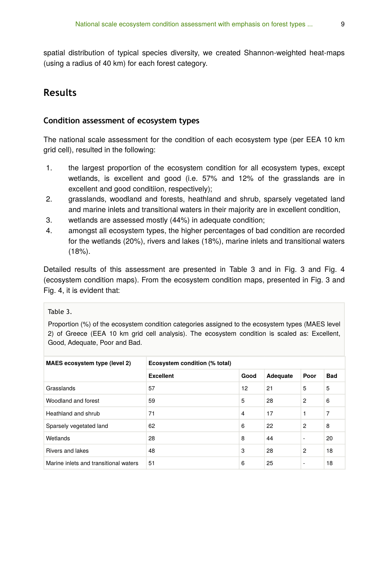spatial distribution of typical species diversity, we created Shannon-weighted heat-maps (using a radius of 40 km) for each forest category.

### **Results**

#### **Condition assessment of ecosystem types**

The national scale assessment for the condition of each ecosystem type (per EEA 10 km grid cell), resulted in the following:

- 1. the largest proportion of the ecosystem condition for all ecosystem types, except wetlands, is excellent and good (i.e. 57% and 12% of the grasslands are in excellent and good conditiion, respectively);
- 2. grasslands, woodland and forests, heathland and shrub, sparsely vegetated land and marine inlets and transitional waters in their majority are in excellent condition,
- 3. wetlands are assessed mostly (44%) in adequate condition;
- 4. amongst all ecosystem types, the higher percentages of bad condition are recorded for the wetlands (20%), rivers and lakes (18%), marine inlets and transitional waters (18%).

Detailed results of this assessment are presented in Table 3 and in Fig. 3 and Fig. 4 (ecosystem condition maps). From the ecosystem condition maps, presented in Fig. 3 and Fig. 4, it is evident that:

#### Table 3.

Proportion (%) of the ecosystem condition categories assigned to the ecosystem types (MAES level 2) of Greece (EEA 10 km grid cell analysis). The ecosystem condition is scaled as: Excellent, Good, Adequate, Poor and Bad.

| MAES ecosystem type (level 2)         | Ecosystem condition (% total) |                |          |                          |            |
|---------------------------------------|-------------------------------|----------------|----------|--------------------------|------------|
|                                       | <b>Excellent</b>              | Good           | Adequate | Poor                     | <b>Bad</b> |
| Grasslands                            | 57                            | 12             | 21       | 5                        | 5          |
| Woodland and forest                   | 59                            | 5              | 28       | $\overline{2}$           | 6          |
| Heathland and shrub                   | 71                            | $\overline{4}$ | 17       |                          | 7          |
| Sparsely vegetated land               | 62                            | 6              | 22       | 2                        | 8          |
| Wetlands                              | 28                            | 8              | 44       | $\overline{\phantom{a}}$ | 20         |
| Rivers and lakes                      | 48                            | 3              | 28       | 2                        | 18         |
| Marine inlets and transitional waters | 51                            | 6              | 25       | $\overline{\phantom{a}}$ | 18         |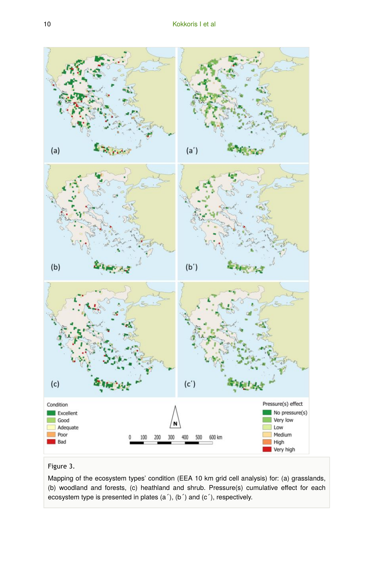

#### Figure 3.

Mapping of the ecosystem types' condition (EEA 10 km grid cell analysis) for: (a) grasslands, (b) woodland and forests, (c) heathland and shrub. Pressure(s) cumulative effect for each ecosystem type is presented in plates (a΄), (b΄) and (c΄), respectively.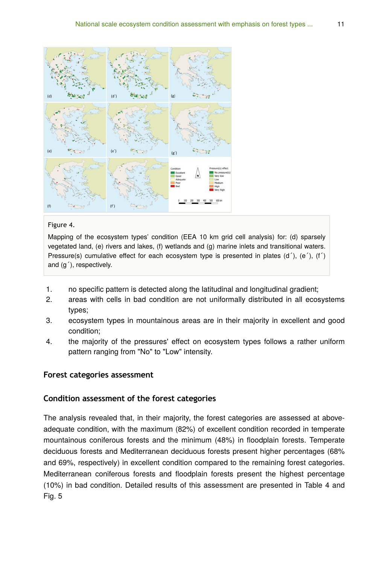

#### Figure 4.

Mapping of the ecosystem types' condition (EEA 10 km grid cell analysis) for: (d) sparsely vegetated land, (e) rivers and lakes, (f) wetlands and (g) marine inlets and transitional waters. Pressure(s) cumulative effect for each ecosystem type is presented in plates (d΄), (e΄), (f΄) and (g΄), respectively.

- 1. no specific pattern is detected along the latitudinal and longitudinal gradient;
- 2. areas with cells in bad condition are not uniformally distributed in all ecosystems types;
- 3. ecosystem types in mountainous areas are in their majority in excellent and good condition;
- 4. the majority of the pressures' effect on ecosystem types follows a rather uniform pattern ranging from "No" to "Low" intensity.

#### **Forest categories assessment**

#### **Condition assessment of the forest categories**

The analysis revealed that, in their majority, the forest categories are assessed at aboveadequate condition, with the maximum (82%) of excellent condition recorded in temperate mountainous coniferous forests and the minimum (48%) in floodplain forests. Temperate deciduous forests and Mediterranean deciduous forests present higher percentages (68% and 69%, respectively) in excellent condition compared to the remaining forest categories. Mediterranean coniferous forests and floodplain forests present the highest percentage (10%) in bad condition. Detailed results of this assessment are presented in Table 4 and Fig. 5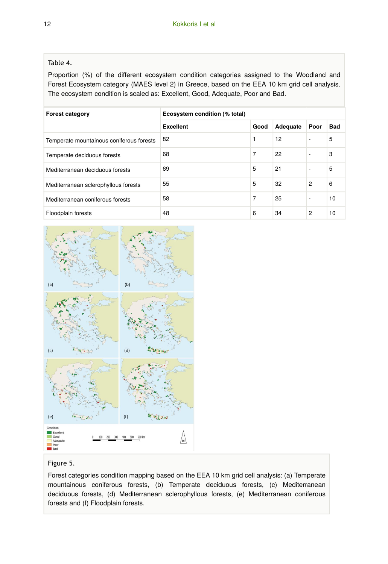#### Table 4.

Proportion (%) of the different ecosystem condition categories assigned to the Woodland and Forest Ecosystem category (MAES level 2) in Greece, based on the EEA 10 km grid cell analysis. The ecosystem condition is scaled as: Excellent, Good, Adequate, Poor and Bad.

| <b>Forest category</b>                   | Ecosystem condition (% total) |      |          |                |            |
|------------------------------------------|-------------------------------|------|----------|----------------|------------|
|                                          | <b>Excellent</b>              | Good | Adequate | Poor           | <b>Bad</b> |
| Temperate mountainous coniferous forests | 82                            | 1    | 12       |                | 5          |
| Temperate deciduous forests              | 68                            | 7    | 22       |                | 3          |
| Mediterranean deciduous forests          | 69                            | 5    | 21       |                | 5          |
| Mediterranean sclerophyllous forests     | 55                            | 5    | 32       | $\overline{c}$ | 6          |
| Mediterranean coniferous forests         | 58                            | 7    | 25       |                | 10         |
| Floodplain forests                       | 48                            | 6    | 34       | $\overline{2}$ | 10         |



#### Figure 5.

Forest categories condition mapping based on the EEA 10 km grid cell analysis: (a) Temperate mountainous coniferous forests, (b) Temperate deciduous forests, (c) Mediterranean deciduous forests, (d) Mediterranean sclerophyllous forests, (e) Mediterranean coniferous forests and (f) Floodplain forests.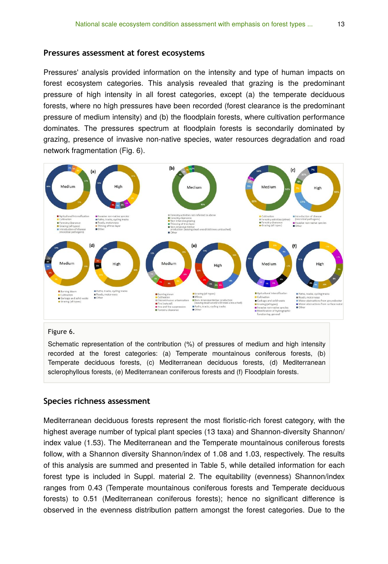#### **Pressures assessment at forest ecosystems**

Pressures' analysis provided information on the intensity and type of human impacts on forest ecosystem categories. This analysis revealed that grazing is the predominant pressure of high intensity in all forest categories, except (a) the temperate deciduous forests, where no high pressures have been recorded (forest clearance is the predominant pressure of medium intensity) and (b) the floodplain forests, where cultivation performance dominates. The pressures spectrum at floodplain forests is secondarily dominated by grazing, presence of invasive non-native species, water resources degradation and road network fragmentation (Fig. 6).



#### Figure 6.

Schematic representation of the contribution (%) of pressures of medium and high intensity recorded at the forest categories: (a) Temperate mountainous coniferous forests, (b) Temperate deciduous forests, (c) Mediterranean deciduous forests, (d) Mediterranean sclerophyllous forests, (e) Mediterranean coniferous forests and (f) Floodplain forests.

#### **Species richness assessment**

Mediterranean deciduous forests represent the most floristic-rich forest category, with the highest average number of typical plant species (13 taxa) and Shannon-diversity Shannon/ index value (1.53). The Mediterranean and the Temperate mountainous coniferous forests follow, with a Shannon diversity Shannon/index of 1.08 and 1.03, respectively. The results of this analysis are summed and presented in Table 5, while detailed information for each forest type is included in Suppl. material 2. The equitability (evenness) Shannon/index ranges from 0.43 (Temperate mountainous coniferous forests and Temperate deciduous forests) to 0.51 (Mediterranean coniferous forests); hence no significant difference is observed in the evenness distribution pattern amongst the forest categories. Due to the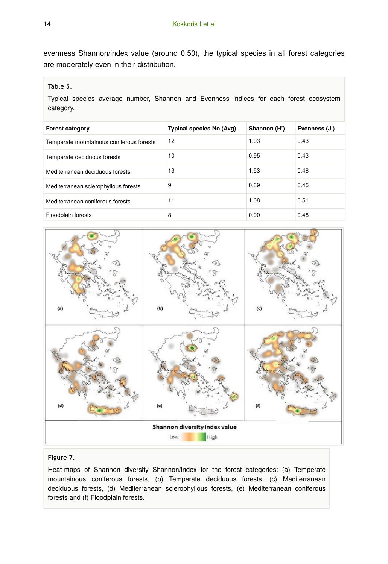evenness Shannon/index value (around 0.50), the typical species in all forest categories are moderately even in their distribution.

#### Table 5.

Typical species average number, Shannon and Evenness indices for each forest ecosystem category.

| <b>Forest category</b>                   | Typical species No (Avg) | Shannon (H') | Evenness (J') |
|------------------------------------------|--------------------------|--------------|---------------|
| Temperate mountainous coniferous forests | 12                       | 1.03         | 0.43          |
| Temperate deciduous forests              | 10                       | 0.95         | 0.43          |
| Mediterranean deciduous forests          | 13                       | 1.53         | 0.48          |
| Mediterranean sclerophyllous forests     | 9                        | 0.89         | 0.45          |
| Mediterranean coniferous forests         | 11                       | 1.08         | 0.51          |
| Floodplain forests                       | 8                        | 0.90         | 0.48          |



#### Figure 7.

Heat-maps of Shannon diversity Shannon/index for the forest categories: (a) Temperate mountainous coniferous forests, (b) Temperate deciduous forests, (c) Mediterranean deciduous forests, (d) Mediterranean sclerophyllous forests, (e) Mediterranean coniferous forests and (f) Floodplain forests.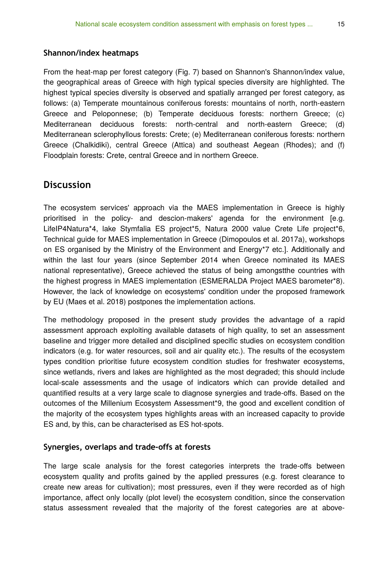#### **Shannon/index heatmaps**

From the heat-map per forest category (Fig. 7) based on Shannon's Shannon/index value, the geographical areas of Greece with high typical species diversity are highlighted. The highest typical species diversity is observed and spatially arranged per forest category, as follows: (a) Temperate mountainous coniferous forests: mountains of north, north-eastern Greece and Peloponnese; (b) Temperate deciduous forests: northern Greece; (c) Mediterranean deciduous forests: north-central and north-eastern Greece; (d) Mediterranean sclerophyllous forests: Crete; (e) Mediterranean coniferous forests: northern Greece (Chalkidiki), central Greece (Attica) and southeast Aegean (Rhodes); and (f) Floodplain forests: Crete, central Greece and in northern Greece.

### **Discussion**

The ecosystem services' approach via the MAES implementation in Greece is highly prioritised in the policy- and descion-makers' agenda for the environment [e.g. LifeIP4Natura\*4, lake Stymfalia ES project\*5, Natura 2000 value Crete Life project\*6, Technical guide for MAES implementation in Greece (Dimopoulos et al. 2017a), workshops on ES organised by the Ministry of the Environment and Energy\*7 etc.]. Additionally and within the last four years (since September 2014 when Greece nominated its MAES national representative), Greece achieved the status of being amongstthe countries with the highest progress in MAES implementation (ESMERALDA Project MAES barometer\*8). However, the lack of knowledge on ecosystems' condition under the proposed framework by EU (Maes et al. 2018) postpones the implementation actions.

The methodology proposed in the present study provides the advantage of a rapid assessment approach exploiting available datasets of high quality, to set an assessment baseline and trigger more detailed and disciplined specific studies on ecosystem condition indicators (e.g. for water resources, soil and air quality etc.). The results of the ecosystem types condition prioritise future ecosystem condition studies for freshwater ecosystems, since wetlands, rivers and lakes are highlighted as the most degraded; this should include local-scale assessments and the usage of indicators which can provide detailed and quantified results at a very large scale to diagnose synergies and trade-offs. Based on the outcomes of the Millenium Ecosystem Assessment\*9, the good and excellent condition of the majority of the ecosystem types highlights areas with an increased capacity to provide ES and, by this, can be characterised as ES hot-spots.

#### **Synergies, overlaps and trade-offs at forests**

The large scale analysis for the forest categories interprets the trade-offs between ecosystem quality and profits gained by the applied pressures (e.g. forest clearance to create new areas for cultivation); most pressures, even if they were recorded as of high importance, affect only locally (plot level) the ecosystem condition, since the conservation status assessment revealed that the majority of the forest categories are at above-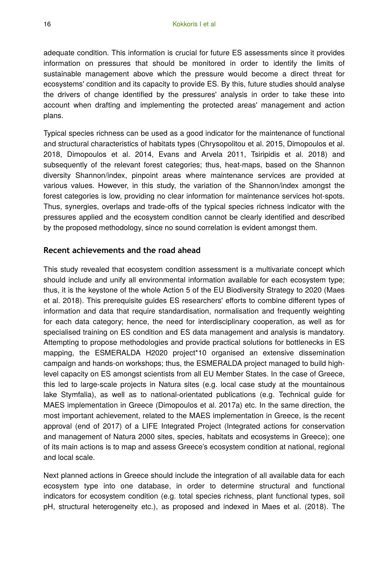adequate condition. This information is crucial for future ES assessments since it provides information on pressures that should be monitored in order to identify the limits of sustainable management above which the pressure would become a direct threat for ecosystems' condition and its capacity to provide ES. By this, future studies should analyse the drivers of change identified by the pressures' analysis in order to take these into account when drafting and implementing the protected areas' management and action plans.

Typical species richness can be used as a good indicator for the maintenance of functional and structural characteristics of habitats types (Chrysopolitou et al. 2015, Dimopoulos et al. 2018, Dimopoulos et al. 2014, Evans and Arvela 2011, Tsiripidis et al. 2018) and subsequently of the relevant forest categories; thus, heat-maps, based on the Shannon diversity Shannon/index, pinpoint areas where maintenance services are provided at various values. However, in this study, the variation of the Shannon/index amongst the forest categories is low, providing no clear information for maintenance services hot-spots. Thus, synergies, overlaps and trade-offs of the typical species richness indicator with the pressures applied and the ecosystem condition cannot be clearly identified and described by the proposed methodology, since no sound correlation is evident amongst them.

#### **Recent achievements and the road ahead**

This study revealed that ecosystem condition assessment is a multivariate concept which should include and unify all environmental information available for each ecosystem type; thus, it is the keystone of the whole Action 5 of the EU Biodiversity Strategy to 2020 (Maes et al. 2018). This prerequisite guides ES researchers' efforts to combine different types of information and data that require standardisation, normalisation and frequently weighting for each data category; hence, the need for interdisciplinary cooperation, as well as for specialised training on ES condition and ES data management and analysis is mandatory. Attempting to propose methodologies and provide practical solutions for bottlenecks in ES mapping, the ESMERALDA H2020 project\*10 organised an extensive dissemination campaign and hands-on workshops; thus, the ESMERALDA project managed to build highlevel capacity on ES amongst scientists from all EU Member States. In the case of Greece, this led to large-scale projects in Natura sites (e.g. local case study at the mountainous lake Stymfalia), as well as to national-orientated publications (e.g. Technical guide for MAES implementation in Greece (Dimopoulos et al. 2017a) etc. In the same direction, the most important achievement, related to the MAES implementation in Greece, is the recent approval (end of 2017) of a LIFE Integrated Project (Integrated actions for conservation and management of Natura 2000 sites, species, habitats and ecosystems in Greece); one of its main actions is to map and assess Greece's ecosystem condition at national, regional and local scale.

Next planned actions in Greece should include the integration of all available data for each ecosystem type into one database, in order to determine structural and functional indicators for ecosystem condition (e.g. total species richness, plant functional types, soil pH, structural heterogeneity etc.), as proposed and indexed in Maes et al. (2018). The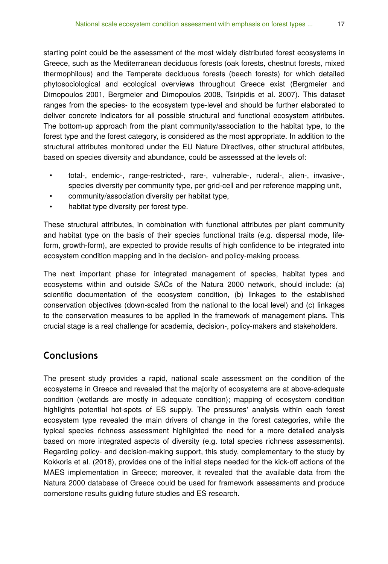starting point could be the assessment of the most widely distributed forest ecosystems in Greece, such as the Mediterranean deciduous forests (oak forests, chestnut forests, mixed thermophilous) and the Temperate deciduous forests (beech forests) for which detailed phytosociological and ecological overviews throughout Greece exist (Bergmeier and Dimopoulos 2001, Bergmeier and Dimopoulos 2008, Tsiripidis et al. 2007). This dataset ranges from the species- to the ecosystem type-level and should be further elaborated to deliver concrete indicators for all possible structural and functional ecosystem attributes. The bottom-up approach from the plant community/association to the habitat type, to the forest type and the forest category, is considered as the most appropriate. In addition to the structural attributes monitored under the EU Nature Directives, other structural attributes, based on species diversity and abundance, could be assesssed at the levels of:

- total-, endemic-, range-restricted-, rare-, vulnerable-, ruderal-, alien-, invasive-, species diversity per community type, per grid-cell and per reference mapping unit,
- community/association diversity per habitat type,
- habitat type diversity per forest type.

These structural attributes, in combination with functional attributes per plant community and habitat type on the basis of their species functional traits (e.g. dispersal mode, lifeform, growth-form), are expected to provide results of high confidence to be integrated into ecosystem condition mapping and in the decision- and policy-making process.

The next important phase for integrated management of species, habitat types and ecosystems within and outside SACs of the Natura 2000 network, should include: (a) scientific documentation of the ecosystem condition, (b) linkages to the established conservation objectives (down-scaled from the national to the local level) and (c) linkages to the conservation measures to be applied in the framework of management plans. This crucial stage is a real challenge for academia, decision-, policy-makers and stakeholders.

# **Conclusions**

The present study provides a rapid, national scale assessment on the condition of the ecosystems in Greece and revealed that the majority of ecosystems are at above-adequate condition (wetlands are mostly in adequate condition); mapping of ecosystem condition highlights potential hot-spots of ES supply. The pressures' analysis within each forest ecosystem type revealed the main drivers of change in the forest categories, while the typical species richness assessment highlighted the need for a more detailed analysis based on more integrated aspects of diversity (e.g. total species richness assessments). Regarding policy- and decision-making support, this study, complementary to the study by Kokkoris et al. (2018), provides one of the initial steps needed for the kick-off actions of the MAES implementation in Greece; moreover, it revealed that the available data from the Natura 2000 database of Greece could be used for framework assessments and produce cornerstone results guiding future studies and ES research.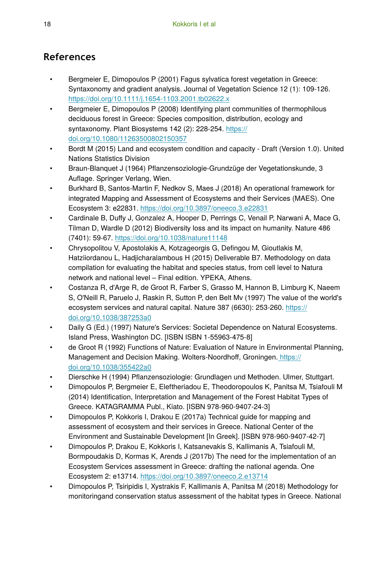# **References**

- Bergmeier E, Dimopoulos P (2001) Fagus sylvatica forest vegetation in Greece: Syntaxonomy and gradient analysis. Journal of Vegetation Science 12 (1): 109-126. <https://doi.org/10.1111/j.1654-1103.2001.tb02622.x>
- Bergmeier E, Dimopoulos P (2008) Identifying plant communities of thermophilous deciduous forest in Greece: Species composition, distribution, ecology and syntaxonomy. Plant Biosystems 142 (2): 228-254. [https://](https://doi.org/10.1080/11263500802150357) [doi.org/10.1080/11263500802150357](https://doi.org/10.1080/11263500802150357)
- Bordt M (2015) Land and ecosystem condition and capacity Draft (Version 1.0). United Nations Statistics Division
- Braun-Blanquet J (1964) Pflanzensoziologie-Grundzüge der Vegetationskunde, 3 Auflage. Springer Verlang, Wien.
- Burkhard B, Santos-Martin F, Nedkov S, Maes J (2018) An operational framework for integrated Mapping and Assessment of Ecosystems and their Services (MAES). One Ecosystem 3: e22831.<https://doi.org/10.3897/oneeco.3.e22831>
- Cardinale B, Duffy J, Gonzalez A, Hooper D, Perrings C, Venail P, Narwani A, Mace G, Tilman D, Wardle D (2012) Biodiversity loss and its impact on humanity. Nature 486 (7401): 59‑67. <https://doi.org/10.1038/nature11148>
- Chrysopolitou V, Apostolakis A, Kotzageorgis G, Defingou M, Gioutlakis M, Hatziiordanou L, Hadjicharalambous H (2015) Deliverable Β7. Methodology on data compilation for evaluating the habitat and species status, from cell level to Natura network and national level – Final edition. YPEKA, Athens.
- Costanza R, d'Arge R, de Groot R, Farber S, Grasso M, Hannon B, Limburg K, Naeem S, O'Neill R, Paruelo J, Raskin R, Sutton P, den Belt Mv (1997) The value of the world's ecosystem services and natural capital. Nature 387 (6630): 253‑260. [https://](https://doi.org/10.1038/387253a0) [doi.org/10.1038/387253a0](https://doi.org/10.1038/387253a0)
- Daily G (Ed.) (1997) Nature's Services: Societal Dependence on Natural Ecosystems. Island Press, Washington DC. [ISBN ISBN 1-55963-475-8]
- de Groot R (1992) Functions of Nature: Evaluation of Nature in Environmental Planning, Management and Decision Making. Wolters-Noordhoff, Groningen. [https://](https://doi.org/10.1038/355422a0) [doi.org/10.1038/355422a0](https://doi.org/10.1038/355422a0)
- Dierschke H (1994) Pflanzensoziologie: Grundlagen und Methoden. Ulmer, Stuttgart.
- Dimopoulos P, Bergmeier E, Eleftheriadou E, Theodoropoulos K, Panitsa M, Tsiafouli M (2014) Identification, Interpretation and Management of the Forest Habitat Types of Greece. KATAGRAMMA Publ., Kiato. [ISBN 978-960-9407-24-3]
- Dimopoulos P, Kokkoris I, Drakou E (2017a) Technical guide for mapping and assessment of ecosystem and their services in Greece. National Center of the Environment and Sustainable Development [In Greek]. [ISBN 978-960-9407-42-7]
- Dimopoulos P, Drakou E, Kokkoris I, Katsanevakis S, Kallimanis A, Tsiafouli M, Bormpoudakis D, Kormas K, Arends J (2017b) The need for the implementation of an Ecosystem Services assessment in Greece: drafting the national agenda. One Ecosystem 2: e13714.<https://doi.org/10.3897/oneeco.2.e13714>
- Dimopoulos P, Tsiripidis I, Xystrakis F, Kallimanis A, Panitsa M (2018) Methodology for monitoringand conservation status assessment of the habitat types in Greece. National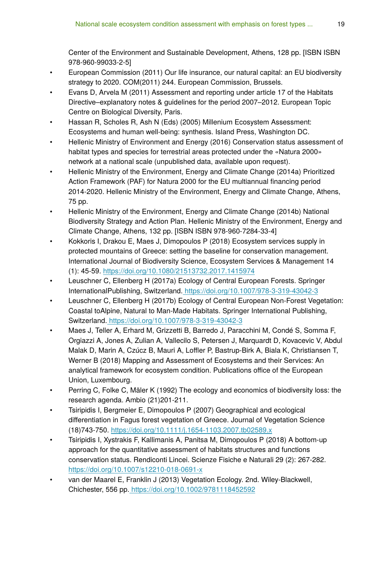Center of the Environment and Sustainable Development, Athens, 128 pp. [ISBN ISBN 978-960-99033-2-5]

- European Commission (2011) Our life insurance, our natural capital: an EU biodiversity strategy to 2020. COM(2011) 244. European Commission, Brussels.
- Evans D, Arvela M (2011) Assessment and reporting under article 17 of the Habitats Directive–explanatory notes & guidelines for the period 2007–2012. European Topic Centre on Biological Diversity, Paris.
- Hassan R, Scholes R, Ash N (Eds) (2005) Millenium Ecosystem Assessment: Ecosystems and human well-being: synthesis. Island Press, Washington DC.
- Hellenic Ministry of Environment and Energy (2016) Conservation status assessment of habitat types and species for terrestrial areas protected under the «Natura 2000» network at a national scale (unpublished data, available upon request).
- Hellenic Ministry of the Environment, Energy and Climate Change (2014a) Prioritized Action Framework (PAF) for Natura 2000 for the EU multiannual financing period 2014-2020. Hellenic Ministry of the Environment, Energy and Climate Change, Athens, 75 pp.
- Hellenic Ministry of the Environment, Energy and Climate Change (2014b) National Biodiversity Strategy and Action Plan. Hellenic Ministry of the Environment, Energy and Climate Change, Athens, 132 pp. [ISBN ISBN 978-960-7284-33-4]
- Kokkoris I, Drakou E, Maes J, Dimopoulos P (2018) Ecosystem services supply in protected mountains of Greece: setting the baseline for conservation management. International Journal of Biodiversity Science, Ecosystem Services & Management 14 (1): 45‑59.<https://doi.org/10.1080/21513732.2017.1415974>
- Leuschner C, Ellenberg H (2017a) Ecology of Central European Forests. Springer InternationalPublishing, Switzerland[. https://doi.org/10.1007/978-3-319-43042-3](https://doi.org/10.1007/978-3-319-43042-3)
- Leuschner C, Ellenberg H (2017b) Ecology of Central European Non-Forest Vegetation: Coastal toAlpine, Natural to Man-Made Habitats. Springer International Publishing, Switzerland[. https://doi.org/10.1007/978-3-319-43042-3](https://doi.org/10.1007/978-3-319-43042-3)
- Maes J, Teller A, Erhard M, Grizzetti B, Barredo J, Paracchini M, Condé S, Somma F, Orgiazzi A, Jones A, Zulian A, Vallecilo S, Petersen J, Marquardt D, Kovacevic V, Abdul Malak D, Marin A, Czúcz B, Mauri A, Loffler P, Bastrup-Birk A, Biala K, Christiansen T, Werner B (2018) Mapping and Assessment of Ecosystems and their Services: An analytical framework for ecosystem condition. Publications office of the European Union, Luxembourg.
- Perring C, Folke C, Mäler K (1992) The ecology and economics of biodiversity loss: the research agenda. Ambio (21)201‑211.
- Tsiripidis I, Bergmeier E, Dimopoulos P (2007) Geographical and ecological differentiation in Fagus forest vegetation of Greece. Journal of Vegetation Science (18)743‑750. <https://doi.org/10.1111/j.1654-1103.2007.tb02589.x>
- Tsiripidis I, Xystrakis F, Kallimanis A, Panitsa M, Dimopoulos P (2018) A bottom-up approach for the quantitative assessment of habitats structures and functions conservation status. Rendiconti Lincei. Scienze Fisiche e Naturali 29 (2): 267‑282. <https://doi.org/10.1007/s12210-018-0691-x>
- van der Maarel E, Franklin J (2013) Vegetation Ecology. 2nd. Wiley-Blackwell, Chichester, 556 pp.<https://doi.org/10.1002/9781118452592>